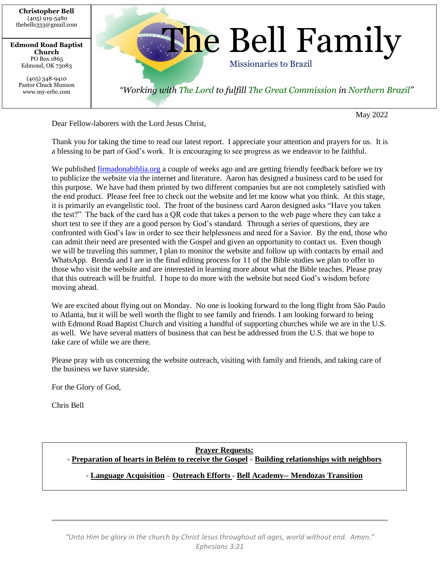

May 2022

Dear Fellow-laborers with the Lord Jesus Christ,

Thank you for taking the time to read our latest report. I appreciate your attention and prayers for us. It is a blessing to be part of God's work. It is encouraging to see progress as we endeavor to be faithful.

We published [firmadonabiblia.org](https://firmadonabiblia.org/) a couple of weeks ago and are getting friendly feedback before we try to publicize the website via the internet and literature. Aaron has designed a business card to be used for this purpose. We have had them printed by two different companies but are not completely satisfied with the end product. Please feel free to check out the website and let me know what you think. At this stage, it is primarily an evangelistic tool. The front of the business card Aaron designed asks "Have you taken the test?" The back of the card has a QR code that takes a person to the web page where they can take a short test to see if they are a good person by God's standard. Through a series of questions, they are confronted with God's law in order to see their helplessness and need for a Savior. By the end, those who can admit their need are presented with the Gospel and given an opportunity to contact us. Even though we will be traveling this summer, I plan to monitor the website and follow up with contacts by email and WhatsApp. Brenda and I are in the final editing process for 11 of the Bible studies we plan to offer to those who visit the website and are interested in learning more about what the Bible teaches. Please pray that this outreach will be fruitful. I hope to do more with the website but need God's wisdom before moving ahead.

We are excited about flying out on Monday. No one is looking forward to the long flight from São Paulo to Atlanta, but it will be well worth the flight to see family and friends. I am looking forward to being with Edmond Road Baptist Church and visiting a handful of supporting churches while we are in the U.S. as well. We have several matters of business that can best be addressed from the U.S. that we hope to take care of while we are there.

Please pray with us concerning the website outreach, visiting with family and friends, and taking care of the business we have stateside.

For the Glory of God,

Chris Bell

**Prayer Requests:**

- **Preparation of hearts in Belém to receive the Gospel** - **Building relationships with neighbors**

## - **Language Acquisition** – **Outreach Efforts** - **Bell Academy-- Mendozas Transition**